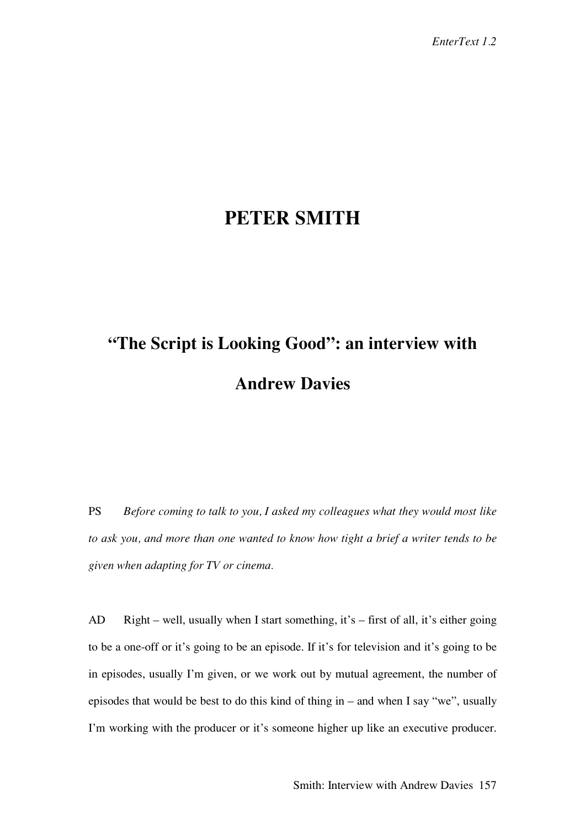# **PETER SMITH**

# **"The Script is Looking Good": an interview with Andrew Davies**

PS *Before coming to talk to you, I asked my colleagues what they would most like to ask you, and more than one wanted to know how tight a brief a writer tends to be given when adapting for TV or cinema.*

AD Right – well, usually when I start something, it's – first of all, it's either going to be a one-off or it's going to be an episode. If it's for television and it's going to be in episodes, usually I'm given, or we work out by mutual agreement, the number of episodes that would be best to do this kind of thing in – and when I say "we", usually I'm working with the producer or it's someone higher up like an executive producer.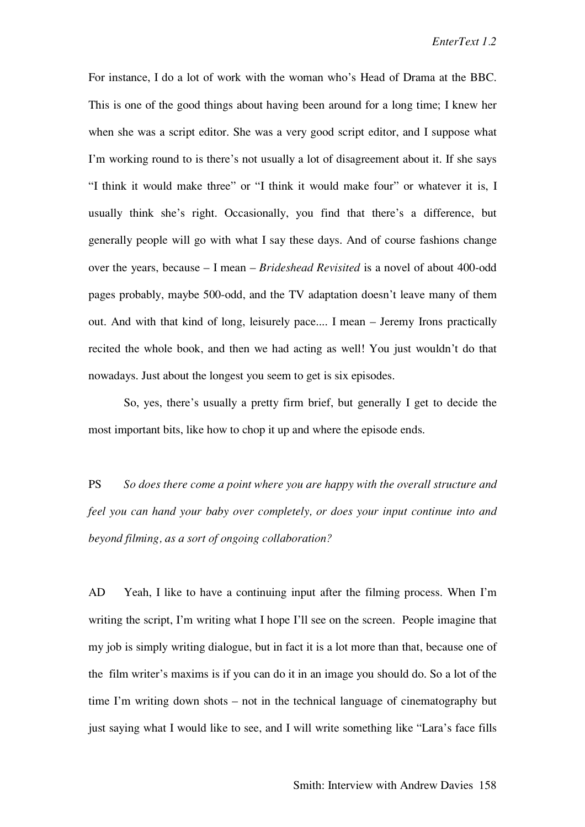For instance, I do a lot of work with the woman who's Head of Drama at the BBC. This is one of the good things about having been around for a long time; I knew her when she was a script editor. She was a very good script editor, and I suppose what I'm working round to is there's not usually a lot of disagreement about it. If she says "I think it would make three" or "I think it would make four" or whatever it is, I usually think she's right. Occasionally, you find that there's a difference, but generally people will go with what I say these days. And of course fashions change over the years, because – I mean – *Brideshead Revisited* is a novel of about 400-odd pages probably, maybe 500-odd, and the TV adaptation doesn't leave many of them out. And with that kind of long, leisurely pace.... I mean – Jeremy Irons practically recited the whole book, and then we had acting as well! You just wouldn't do that nowadays. Just about the longest you seem to get is six episodes.

So, yes, there's usually a pretty firm brief, but generally I get to decide the most important bits, like how to chop it up and where the episode ends.

PS *So does there come a point where you are happy with the overall structure and feel you can hand your baby over completely, or does your input continue into and beyond filming, as a sort of ongoing collaboration?*

AD Yeah, I like to have a continuing input after the filming process. When I'm writing the script, I'm writing what I hope I'll see on the screen. People imagine that my job is simply writing dialogue, but in fact it is a lot more than that, because one of the film writer's maxims is if you can do it in an image you should do. So a lot of the time I'm writing down shots – not in the technical language of cinematography but just saying what I would like to see, and I will write something like "Lara's face fills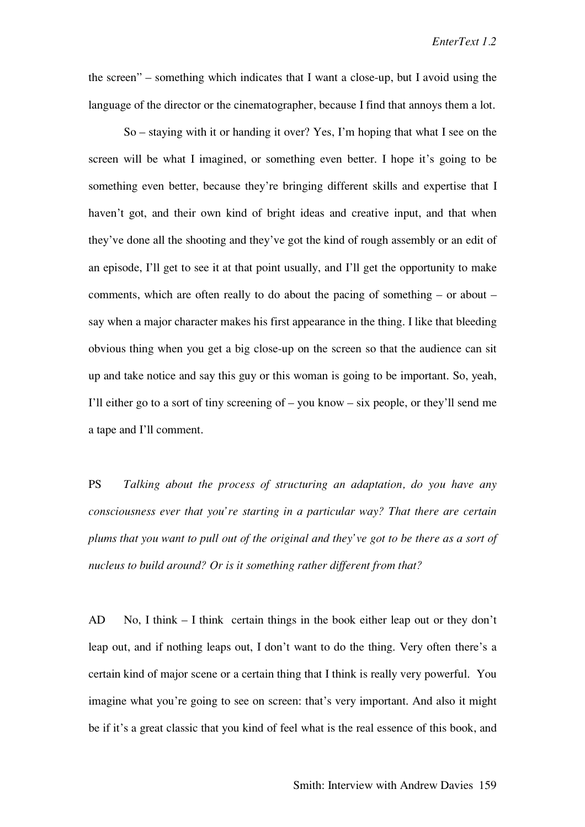the screen" – something which indicates that I want a close-up, but I avoid using the language of the director or the cinematographer, because I find that annoys them a lot.

So – staying with it or handing it over? Yes, I'm hoping that what I see on the screen will be what I imagined, or something even better. I hope it's going to be something even better, because they're bringing different skills and expertise that I haven't got, and their own kind of bright ideas and creative input, and that when they've done all the shooting and they've got the kind of rough assembly or an edit of an episode, I'll get to see it at that point usually, and I'll get the opportunity to make comments, which are often really to do about the pacing of something – or about – say when a major character makes his first appearance in the thing. I like that bleeding obvious thing when you get a big close-up on the screen so that the audience can sit up and take notice and say this guy or this woman is going to be important. So, yeah, I'll either go to a sort of tiny screening of – you know – six people, or they'll send me a tape and I'll comment.

PS *Talking about the process of structuring an adaptation, do you have any consciousness ever that you're starting in a particular way? That there are certain plums that you want to pull out of the original and they've got to be there as a sort of nucleus to build around? Or is it something rather different from that?*

AD No, I think  $-I$  think certain things in the book either leap out or they don't leap out, and if nothing leaps out, I don't want to do the thing. Very often there's a certain kind of major scene or a certain thing that I think is really very powerful. You imagine what you're going to see on screen: that's very important. And also it might be if it's a great classic that you kind of feel what is the real essence of this book, and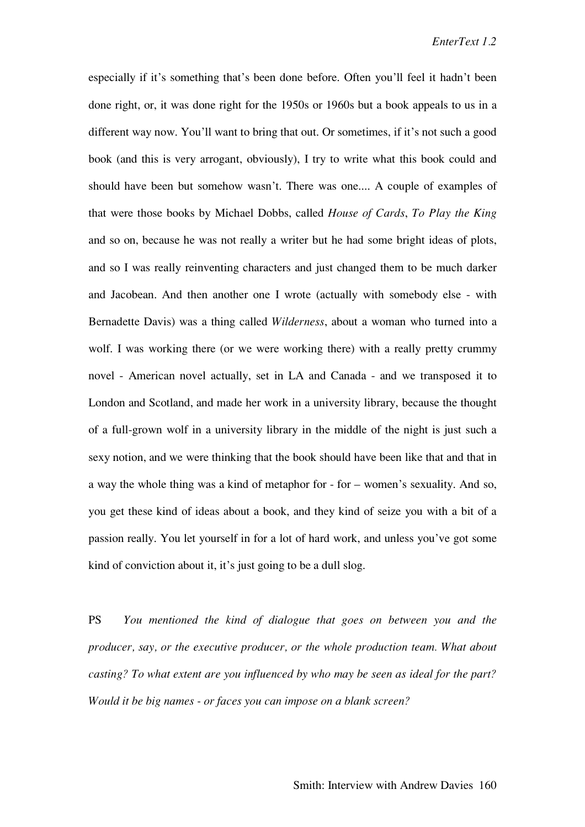especially if it's something that's been done before. Often you'll feel it hadn't been done right, or, it was done right for the 1950s or 1960s but a book appeals to us in a different way now. You'll want to bring that out. Or sometimes, if it's not such a good book (and this is very arrogant, obviously), I try to write what this book could and should have been but somehow wasn't. There was one.... A couple of examples of that were those books by Michael Dobbs, called *House of Cards*, *To Play the King* and so on, because he was not really a writer but he had some bright ideas of plots, and so I was really reinventing characters and just changed them to be much darker and Jacobean. And then another one I wrote (actually with somebody else - with Bernadette Davis) was a thing called *Wilderness*, about a woman who turned into a wolf. I was working there (or we were working there) with a really pretty crummy novel - American novel actually, set in LA and Canada - and we transposed it to London and Scotland, and made her work in a university library, because the thought of a full-grown wolf in a university library in the middle of the night is just such a sexy notion, and we were thinking that the book should have been like that and that in a way the whole thing was a kind of metaphor for - for – women's sexuality. And so, you get these kind of ideas about a book, and they kind of seize you with a bit of a passion really. You let yourself in for a lot of hard work, and unless you've got some kind of conviction about it, it's just going to be a dull slog.

PS *You mentioned the kind of dialogue that goes on between you and the producer, say, or the executive producer, or the whole production team. What about casting? To what extent are you influenced by who may be seen as ideal for the part? Would it be big names - or faces you can impose on a blank screen?*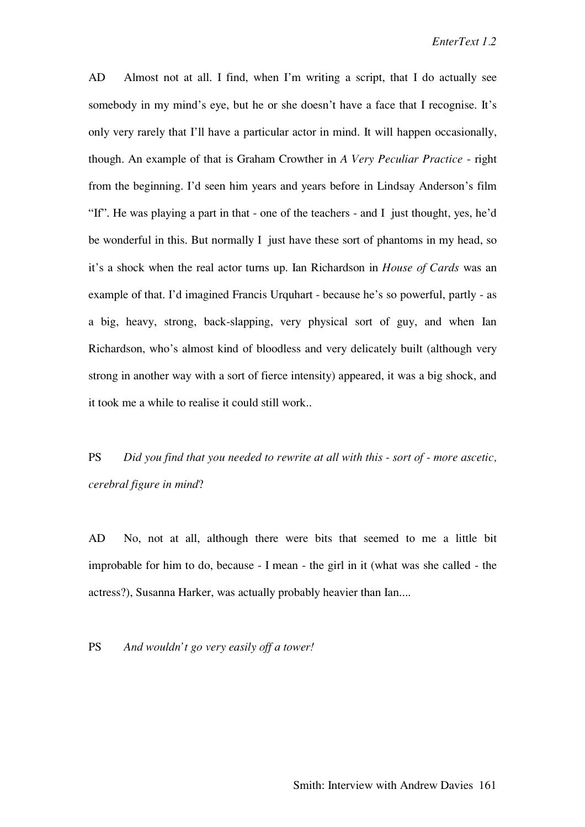AD Almost not at all. I find, when I'm writing a script, that I do actually see somebody in my mind's eye, but he or she doesn't have a face that I recognise. It's only very rarely that I'll have a particular actor in mind. It will happen occasionally, though. An example of that is Graham Crowther in *A Very Peculiar Practice* - right from the beginning. I'd seen him years and years before in Lindsay Anderson's film "If". He was playing a part in that - one of the teachers - and I just thought, yes, he'd be wonderful in this. But normally I just have these sort of phantoms in my head, so it's a shock when the real actor turns up. Ian Richardson in *House of Cards* was an example of that. I'd imagined Francis Urquhart - because he's so powerful, partly - as a big, heavy, strong, back-slapping, very physical sort of guy, and when Ian Richardson, who's almost kind of bloodless and very delicately built (although very strong in another way with a sort of fierce intensity) appeared, it was a big shock, and it took me a while to realise it could still work..

PS *Did you find that you needed to rewrite at all with this - sort of - more ascetic, cerebral figure in mind*?

AD No, not at all, although there were bits that seemed to me a little bit improbable for him to do, because - I mean - the girl in it (what was she called - the actress?), Susanna Harker, was actually probably heavier than Ian....

PS *And wouldn't go very easily off a tower!*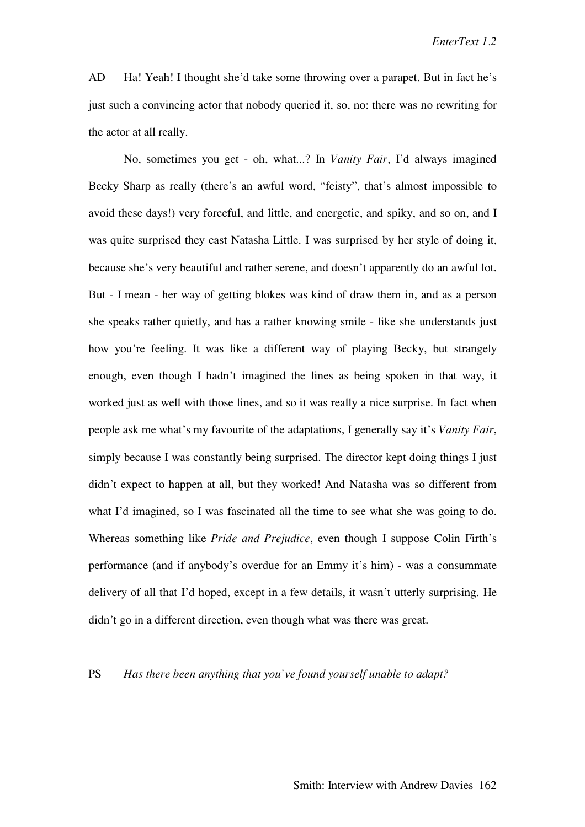AD Ha! Yeah! I thought she'd take some throwing over a parapet. But in fact he's just such a convincing actor that nobody queried it, so, no: there was no rewriting for the actor at all really.

No, sometimes you get - oh, what...? In *Vanity Fair*, I'd always imagined Becky Sharp as really (there's an awful word, "feisty", that's almost impossible to avoid these days!) very forceful, and little, and energetic, and spiky, and so on, and I was quite surprised they cast Natasha Little. I was surprised by her style of doing it, because she's very beautiful and rather serene, and doesn't apparently do an awful lot. But - I mean - her way of getting blokes was kind of draw them in, and as a person she speaks rather quietly, and has a rather knowing smile - like she understands just how you're feeling. It was like a different way of playing Becky, but strangely enough, even though I hadn't imagined the lines as being spoken in that way, it worked just as well with those lines, and so it was really a nice surprise. In fact when people ask me what's my favourite of the adaptations, I generally say it's *Vanity Fair*, simply because I was constantly being surprised. The director kept doing things I just didn't expect to happen at all, but they worked! And Natasha was so different from what I'd imagined, so I was fascinated all the time to see what she was going to do. Whereas something like *Pride and Prejudice*, even though I suppose Colin Firth's performance (and if anybody's overdue for an Emmy it's him) - was a consummate delivery of all that I'd hoped, except in a few details, it wasn't utterly surprising. He didn't go in a different direction, even though what was there was great.

## PS *Has there been anything that you've found yourself unable to adapt?*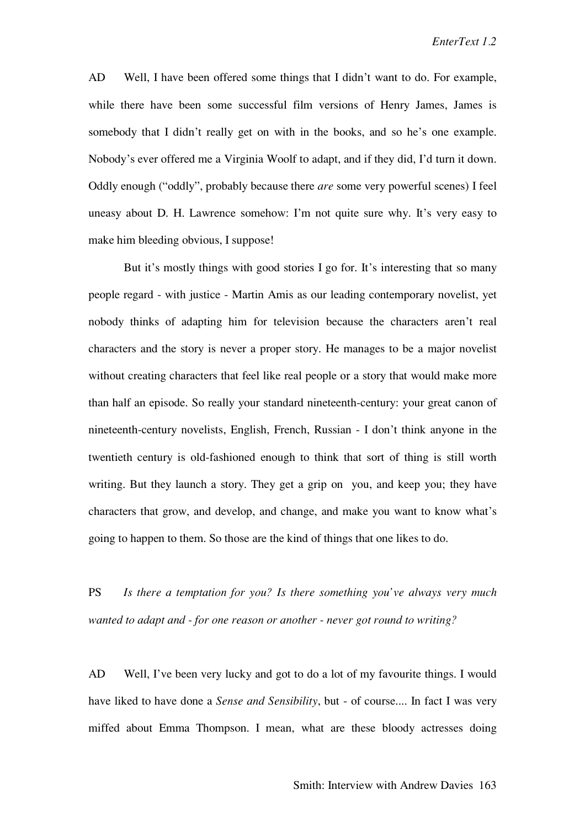AD Well, I have been offered some things that I didn't want to do. For example, while there have been some successful film versions of Henry James, James is somebody that I didn't really get on with in the books, and so he's one example. Nobody's ever offered me a Virginia Woolf to adapt, and if they did, I'd turn it down. Oddly enough ("oddly", probably because there *are* some very powerful scenes) I feel uneasy about D. H. Lawrence somehow: I'm not quite sure why. It's very easy to make him bleeding obvious, I suppose!

But it's mostly things with good stories I go for. It's interesting that so many people regard - with justice - Martin Amis as our leading contemporary novelist, yet nobody thinks of adapting him for television because the characters aren't real characters and the story is never a proper story. He manages to be a major novelist without creating characters that feel like real people or a story that would make more than half an episode. So really your standard nineteenth-century: your great canon of nineteenth-century novelists, English, French, Russian - I don't think anyone in the twentieth century is old-fashioned enough to think that sort of thing is still worth writing. But they launch a story. They get a grip on you, and keep you; they have characters that grow, and develop, and change, and make you want to know what's going to happen to them. So those are the kind of things that one likes to do.

PS *Is there a temptation for you? Is there something you've always very much wanted to adapt and - for one reason or another - never got round to writing?*

AD Well, I've been very lucky and got to do a lot of my favourite things. I would have liked to have done a *Sense and Sensibility*, but - of course.... In fact I was very miffed about Emma Thompson. I mean, what are these bloody actresses doing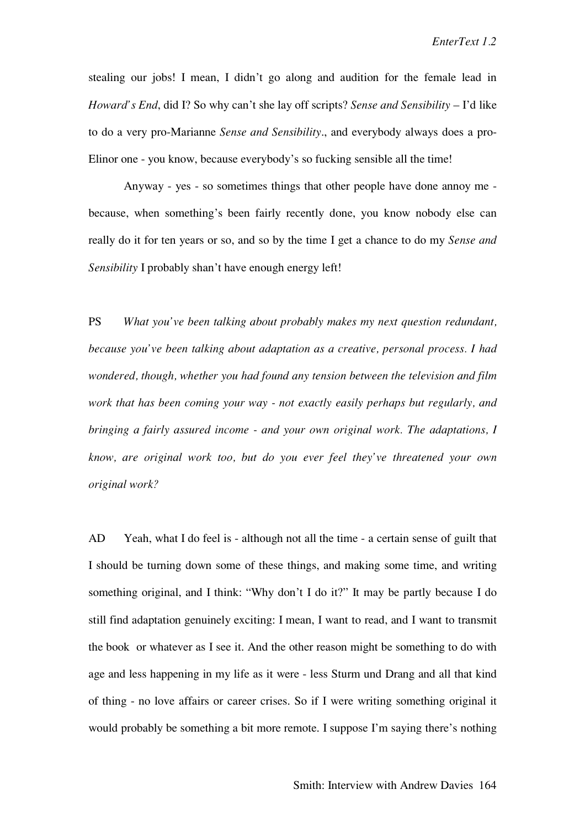stealing our jobs! I mean, I didn't go along and audition for the female lead in *Howard's End*, did I? So why can't she lay off scripts? *Sense and Sensibility* – I'd like to do a very pro-Marianne *Sense and Sensibility*., and everybody always does a pro-Elinor one - you know, because everybody's so fucking sensible all the time!

Anyway - yes - so sometimes things that other people have done annoy me because, when something's been fairly recently done, you know nobody else can really do it for ten years or so, and so by the time I get a chance to do my *Sense and Sensibility* I probably shan't have enough energy left!

PS *What you've been talking about probably makes my next question redundant, because you've been talking about adaptation as a creative, personal process. I had wondered, though, whether you had found any tension between the television and film work that has been coming your way - not exactly easily perhaps but regularly, and bringing a fairly assured income - and your own original work. The adaptations, I know, are original work too, but do you ever feel they've threatened your own original work?*

AD Yeah, what I do feel is - although not all the time - a certain sense of guilt that I should be turning down some of these things, and making some time, and writing something original, and I think: "Why don't I do it?" It may be partly because I do still find adaptation genuinely exciting: I mean, I want to read, and I want to transmit the book or whatever as I see it. And the other reason might be something to do with age and less happening in my life as it were - less Sturm und Drang and all that kind of thing - no love affairs or career crises. So if I were writing something original it would probably be something a bit more remote. I suppose I'm saying there's nothing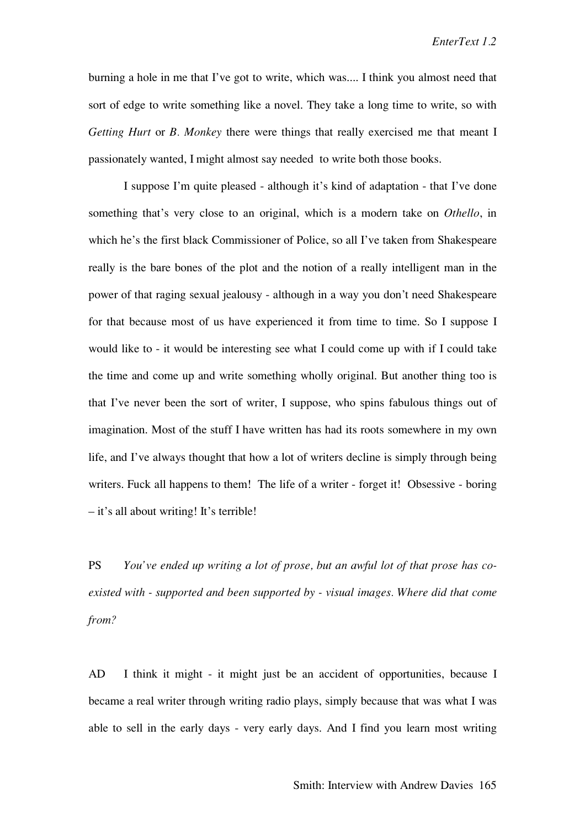burning a hole in me that I've got to write, which was.... I think you almost need that sort of edge to write something like a novel. They take a long time to write, so with *Getting Hurt* or *B. Monkey* there were things that really exercised me that meant I passionately wanted, I might almost say needed to write both those books.

I suppose I'm quite pleased - although it's kind of adaptation - that I've done something that's very close to an original, which is a modern take on *Othello*, in which he's the first black Commissioner of Police, so all I've taken from Shakespeare really is the bare bones of the plot and the notion of a really intelligent man in the power of that raging sexual jealousy - although in a way you don't need Shakespeare for that because most of us have experienced it from time to time. So I suppose I would like to - it would be interesting see what I could come up with if I could take the time and come up and write something wholly original. But another thing too is that I've never been the sort of writer, I suppose, who spins fabulous things out of imagination. Most of the stuff I have written has had its roots somewhere in my own life, and I've always thought that how a lot of writers decline is simply through being writers. Fuck all happens to them! The life of a writer - forget it! Obsessive - boring – it's all about writing! It's terrible!

PS *You've ended up writing a lot of prose, but an awful lot of that prose has coexisted with - supported and been supported by - visual images. Where did that come from?*

AD I think it might - it might just be an accident of opportunities, because I became a real writer through writing radio plays, simply because that was what I was able to sell in the early days - very early days. And I find you learn most writing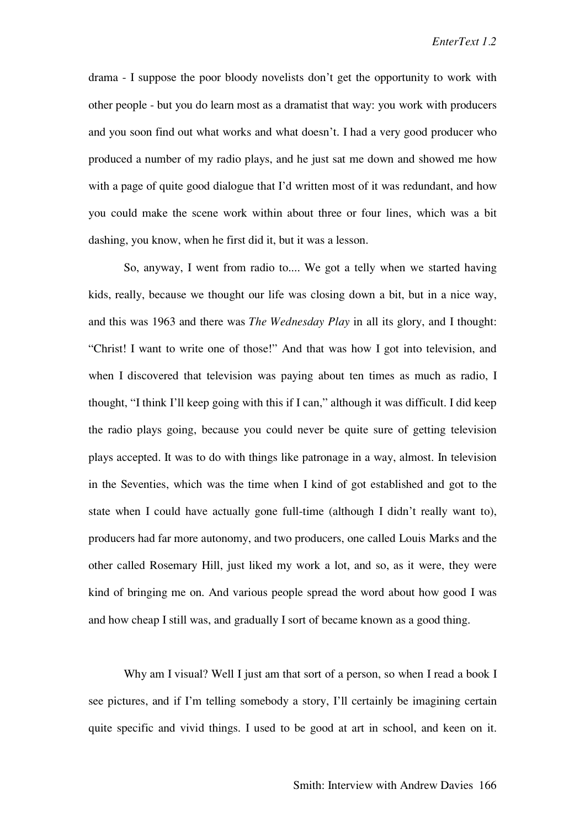drama - I suppose the poor bloody novelists don't get the opportunity to work with other people - but you do learn most as a dramatist that way: you work with producers and you soon find out what works and what doesn't. I had a very good producer who produced a number of my radio plays, and he just sat me down and showed me how with a page of quite good dialogue that I'd written most of it was redundant, and how you could make the scene work within about three or four lines, which was a bit dashing, you know, when he first did it, but it was a lesson.

So, anyway, I went from radio to.... We got a telly when we started having kids, really, because we thought our life was closing down a bit, but in a nice way, and this was 1963 and there was *The Wednesday Play* in all its glory, and I thought: "Christ! I want to write one of those!" And that was how I got into television, and when I discovered that television was paying about ten times as much as radio, I thought, "I think I'll keep going with this if I can," although it was difficult. I did keep the radio plays going, because you could never be quite sure of getting television plays accepted. It was to do with things like patronage in a way, almost. In television in the Seventies, which was the time when I kind of got established and got to the state when I could have actually gone full-time (although I didn't really want to), producers had far more autonomy, and two producers, one called Louis Marks and the other called Rosemary Hill, just liked my work a lot, and so, as it were, they were kind of bringing me on. And various people spread the word about how good I was and how cheap I still was, and gradually I sort of became known as a good thing.

Why am I visual? Well I just am that sort of a person, so when I read a book I see pictures, and if I'm telling somebody a story, I'll certainly be imagining certain quite specific and vivid things. I used to be good at art in school, and keen on it.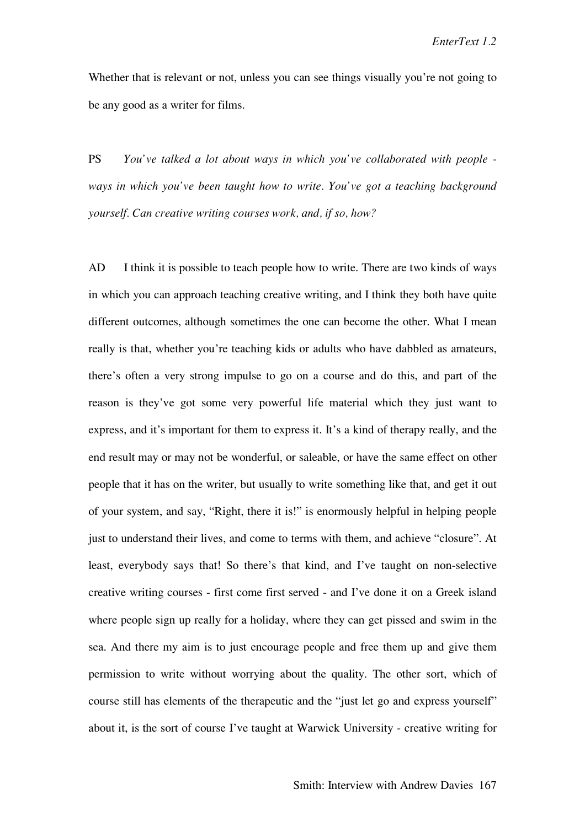Whether that is relevant or not, unless you can see things visually you're not going to be any good as a writer for films.

PS *You've talked a lot about ways in which you've collaborated with people ways in which you've been taught how to write. You've got a teaching background yourself. Can creative writing courses work, and, if so, how?*

AD I think it is possible to teach people how to write. There are two kinds of ways in which you can approach teaching creative writing, and I think they both have quite different outcomes, although sometimes the one can become the other. What I mean really is that, whether you're teaching kids or adults who have dabbled as amateurs, there's often a very strong impulse to go on a course and do this, and part of the reason is they've got some very powerful life material which they just want to express, and it's important for them to express it. It's a kind of therapy really, and the end result may or may not be wonderful, or saleable, or have the same effect on other people that it has on the writer, but usually to write something like that, and get it out of your system, and say, "Right, there it is!" is enormously helpful in helping people just to understand their lives, and come to terms with them, and achieve "closure". At least, everybody says that! So there's that kind, and I've taught on non-selective creative writing courses - first come first served - and I've done it on a Greek island where people sign up really for a holiday, where they can get pissed and swim in the sea. And there my aim is to just encourage people and free them up and give them permission to write without worrying about the quality. The other sort, which of course still has elements of the therapeutic and the "just let go and express yourself" about it, is the sort of course I've taught at Warwick University - creative writing for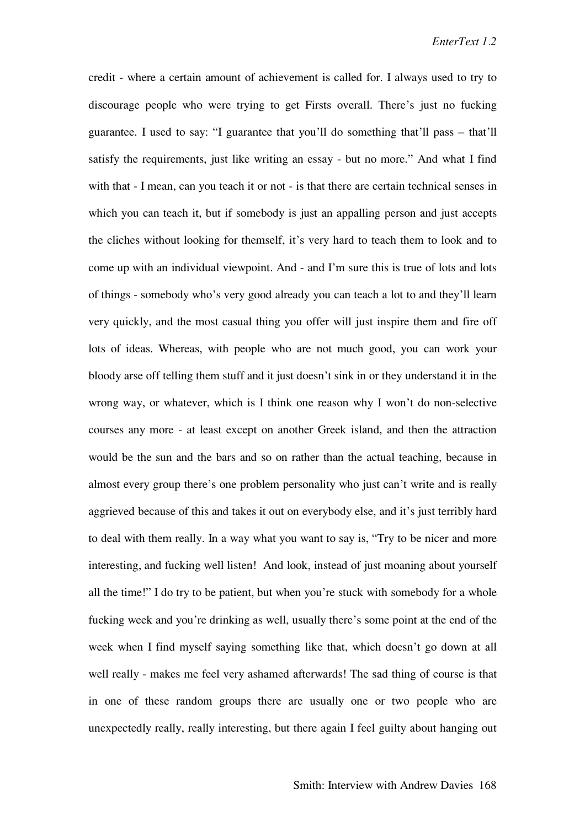credit - where a certain amount of achievement is called for. I always used to try to discourage people who were trying to get Firsts overall. There's just no fucking guarantee. I used to say: "I guarantee that you'll do something that'll pass – that'll satisfy the requirements, just like writing an essay - but no more." And what I find with that - I mean, can you teach it or not - is that there are certain technical senses in which you can teach it, but if somebody is just an appalling person and just accepts the cliches without looking for themself, it's very hard to teach them to look and to come up with an individual viewpoint. And - and I'm sure this is true of lots and lots of things - somebody who's very good already you can teach a lot to and they'll learn very quickly, and the most casual thing you offer will just inspire them and fire off lots of ideas. Whereas, with people who are not much good, you can work your bloody arse off telling them stuff and it just doesn't sink in or they understand it in the wrong way, or whatever, which is I think one reason why I won't do non-selective courses any more - at least except on another Greek island, and then the attraction would be the sun and the bars and so on rather than the actual teaching, because in almost every group there's one problem personality who just can't write and is really aggrieved because of this and takes it out on everybody else, and it's just terribly hard to deal with them really. In a way what you want to say is, "Try to be nicer and more interesting, and fucking well listen! And look, instead of just moaning about yourself all the time!" I do try to be patient, but when you're stuck with somebody for a whole fucking week and you're drinking as well, usually there's some point at the end of the week when I find myself saying something like that, which doesn't go down at all well really - makes me feel very ashamed afterwards! The sad thing of course is that in one of these random groups there are usually one or two people who are unexpectedly really, really interesting, but there again I feel guilty about hanging out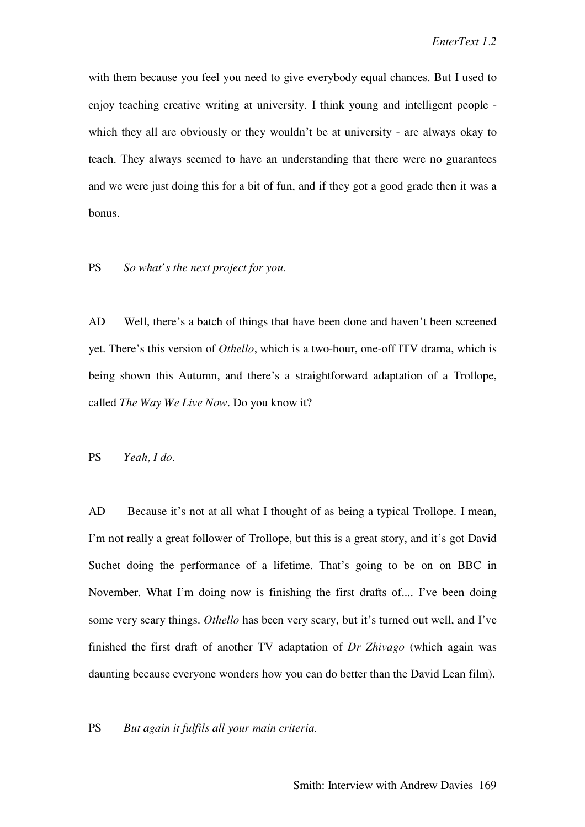with them because you feel you need to give everybody equal chances. But I used to enjoy teaching creative writing at university. I think young and intelligent people which they all are obviously or they wouldn't be at university - are always okay to teach. They always seemed to have an understanding that there were no guarantees and we were just doing this for a bit of fun, and if they got a good grade then it was a bonus.

### PS *So what's the next project for you.*

AD Well, there's a batch of things that have been done and haven't been screened yet. There's this version of *Othello*, which is a two-hour, one-off ITV drama, which is being shown this Autumn, and there's a straightforward adaptation of a Trollope, called *The Way We Live Now*. Do you know it?

PS *Yeah, I do.*

AD Because it's not at all what I thought of as being a typical Trollope. I mean, I'm not really a great follower of Trollope, but this is a great story, and it's got David Suchet doing the performance of a lifetime. That's going to be on on BBC in November. What I'm doing now is finishing the first drafts of.... I've been doing some very scary things. *Othello* has been very scary, but it's turned out well, and I've finished the first draft of another TV adaptation of *Dr Zhivago* (which again was daunting because everyone wonders how you can do better than the David Lean film).

#### PS *But again it fulfils all your main criteria.*